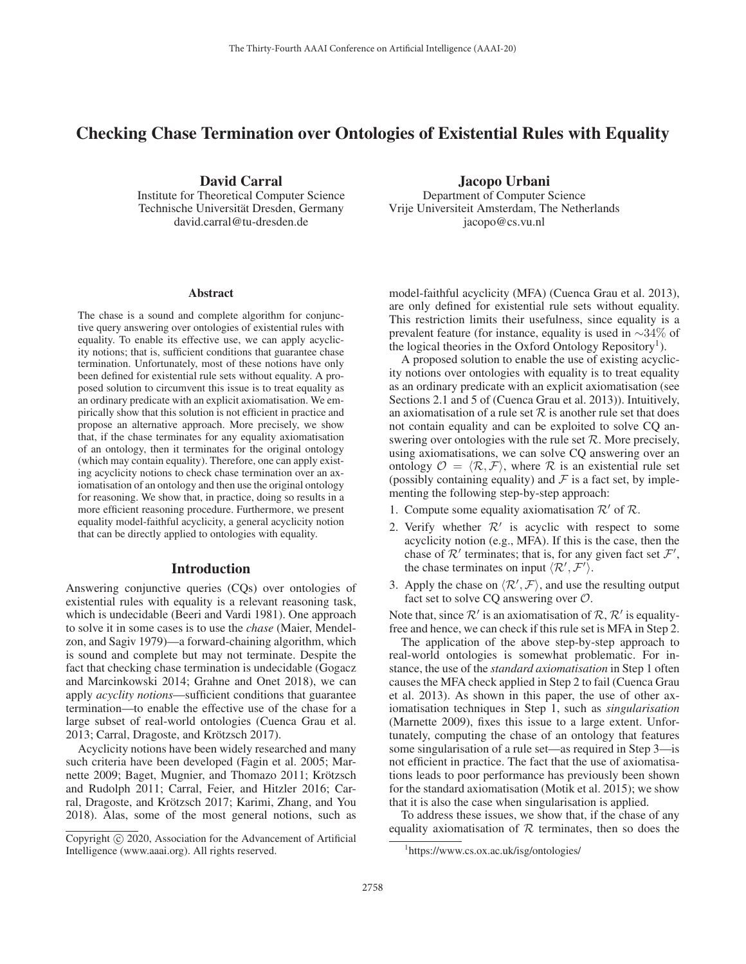# Checking Chase Termination over Ontologies of Existential Rules with Equality

David Carral Institute for Theoretical Computer Science Technische Universität Dresden, Germany david.carral@tu-dresden.de

Department of Computer Science Vrije Universiteit Amsterdam, The Netherlands jacopo@cs.vu.nl

Jacopo Urbani

#### Abstract

The chase is a sound and complete algorithm for conjunctive query answering over ontologies of existential rules with equality. To enable its effective use, we can apply acyclicity notions; that is, sufficient conditions that guarantee chase termination. Unfortunately, most of these notions have only been defined for existential rule sets without equality. A proposed solution to circumvent this issue is to treat equality as an ordinary predicate with an explicit axiomatisation. We empirically show that this solution is not efficient in practice and propose an alternative approach. More precisely, we show that, if the chase terminates for any equality axiomatisation of an ontology, then it terminates for the original ontology (which may contain equality). Therefore, one can apply existing acyclicity notions to check chase termination over an axiomatisation of an ontology and then use the original ontology for reasoning. We show that, in practice, doing so results in a more efficient reasoning procedure. Furthermore, we present equality model-faithful acyclicity, a general acyclicity notion that can be directly applied to ontologies with equality.

## Introduction

Answering conjunctive queries (CQs) over ontologies of existential rules with equality is a relevant reasoning task, which is undecidable (Beeri and Vardi 1981). One approach to solve it in some cases is to use the *chase* (Maier, Mendelzon, and Sagiv 1979)—a forward-chaining algorithm, which is sound and complete but may not terminate. Despite the fact that checking chase termination is undecidable (Gogacz and Marcinkowski 2014; Grahne and Onet 2018), we can apply *acyclity notions*—sufficient conditions that guarantee termination—to enable the effective use of the chase for a large subset of real-world ontologies (Cuenca Grau et al. 2013; Carral, Dragoste, and Krötzsch 2017).

Acyclicity notions have been widely researched and many such criteria have been developed (Fagin et al. 2005; Marnette 2009; Baget, Mugnier, and Thomazo 2011; Krötzsch and Rudolph 2011; Carral, Feier, and Hitzler 2016; Carral, Dragoste, and Krötzsch 2017; Karimi, Zhang, and You 2018). Alas, some of the most general notions, such as

model-faithful acyclicity (MFA) (Cuenca Grau et al. 2013), are only defined for existential rule sets without equality. This restriction limits their usefulness, since equality is a prevalent feature (for instance, equality is used in ∼34% of the logical theories in the Oxford Ontology Repository<sup>1</sup>).

A proposed solution to enable the use of existing acyclicity notions over ontologies with equality is to treat equality as an ordinary predicate with an explicit axiomatisation (see Sections 2.1 and 5 of (Cuenca Grau et al. 2013)). Intuitively, an axiomatisation of a rule set  $R$  is another rule set that does not contain equality and can be exploited to solve CQ answering over ontologies with the rule set  $R$ . More precisely, using axiomatisations, we can solve CQ answering over an ontology  $\mathcal{O} = \langle \mathcal{R}, \mathcal{F} \rangle$ , where  $\mathcal R$  is an existential rule set (possibly containing equality) and  $\mathcal F$  is a fact set, by implementing the following step-by-step approach:

- 1. Compute some equality axiomatisation  $\mathcal{R}'$  of  $\mathcal{R}$ .
- 2. Verify whether  $\mathcal{R}'$  is acyclic with respect to some acyclicity notion (e.g., MFA). If this is the case, then the chase of  $\mathcal{R}'$  terminates; that is, for any given fact set  $\mathcal{F}',$ the chase terminates on input  $\langle \mathcal{R}', \mathcal{F}' \rangle$ .
- 3. Apply the chase on  $\langle \mathcal{R}', \mathcal{F} \rangle$ , and use the resulting output fact set to solve CQ answering over  $\mathcal{O}$ .

Note that, since  $\mathcal{R}'$  is an axiomatisation of  $\mathcal{R}, \mathcal{R}'$  is equalityfree and hence, we can check if this rule set is MFA in Step 2.

The application of the above step-by-step approach to real-world ontologies is somewhat problematic. For instance, the use of the *standard axiomatisation* in Step 1 often causes the MFA check applied in Step 2 to fail (Cuenca Grau et al. 2013). As shown in this paper, the use of other axiomatisation techniques in Step 1, such as *singularisation* (Marnette 2009), fixes this issue to a large extent. Unfortunately, computing the chase of an ontology that features some singularisation of a rule set—as required in Step 3—is not efficient in practice. The fact that the use of axiomatisations leads to poor performance has previously been shown for the standard axiomatisation (Motik et al. 2015); we show that it is also the case when singularisation is applied.

To address these issues, we show that, if the chase of any equality axiomatisation of  $R$  terminates, then so does the

Copyright  $\odot$  2020, Association for the Advancement of Artificial Intelligence (www.aaai.org). All rights reserved.

<sup>1</sup> https://www.cs.ox.ac.uk/isg/ontologies/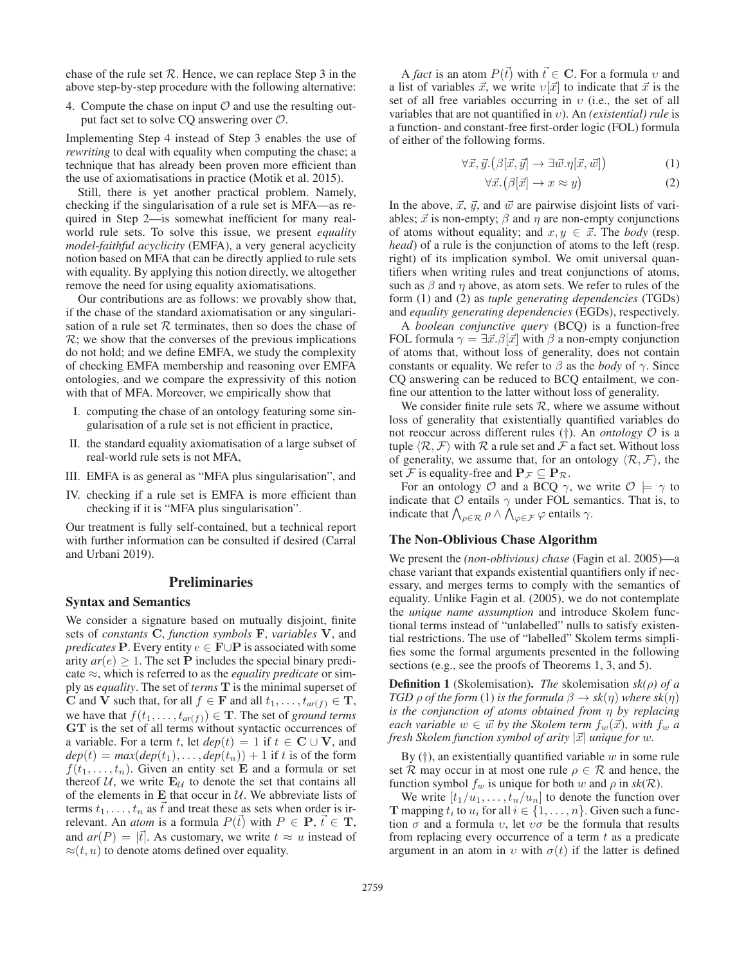chase of the rule set  $R$ . Hence, we can replace Step 3 in the above step-by-step procedure with the following alternative:

4. Compute the chase on input  $\mathcal O$  and use the resulting output fact set to solve CQ answering over O.

Implementing Step 4 instead of Step 3 enables the use of *rewriting* to deal with equality when computing the chase; a technique that has already been proven more efficient than the use of axiomatisations in practice (Motik et al. 2015).

Still, there is yet another practical problem. Namely, checking if the singularisation of a rule set is MFA—as required in Step 2—is somewhat inefficient for many realworld rule sets. To solve this issue, we present *equality model-faithful acyclicity* (EMFA), a very general acyclicity notion based on MFA that can be directly applied to rule sets with equality. By applying this notion directly, we altogether remove the need for using equality axiomatisations.

Our contributions are as follows: we provably show that, if the chase of the standard axiomatisation or any singularisation of a rule set  $R$  terminates, then so does the chase of  $\mathcal{R}$ ; we show that the converses of the previous implications do not hold; and we define EMFA, we study the complexity of checking EMFA membership and reasoning over EMFA ontologies, and we compare the expressivity of this notion with that of MFA. Moreover, we empirically show that

- I. computing the chase of an ontology featuring some singularisation of a rule set is not efficient in practice,
- II. the standard equality axiomatisation of a large subset of real-world rule sets is not MFA,
- III. EMFA is as general as "MFA plus singularisation", and
- IV. checking if a rule set is EMFA is more efficient than checking if it is "MFA plus singularisation".

Our treatment is fully self-contained, but a technical report with further information can be consulted if desired (Carral and Urbani 2019).

## Preliminaries

## Syntax and Semantics

We consider a signature based on mutually disjoint, finite sets of *constants* **C**, *function symbols* **F**, *variables* **V**, and *predicates* **P**. Every entity  $e \in \mathbf{F} \cup \mathbf{P}$  is associated with some arity  $ar(e) \geq 1$ . The set **P** includes the special binary predicate ≈, which is referred to as the *equality predicate* or simply as *equality*. The set of *terms* **T** is the minimal superset of **C** and **V** such that, for all  $f \in \mathbf{F}$  and all  $t_1, \ldots, t_{ar(f)} \in \mathbf{T}$ , we have that  $f(t_1,...,t_{ar(f)}) \in \mathbf{T}$ . The set of *ground terms* **GT** is the set of all terms without syntactic occurrences of a variable. For a term t, let  $dep(t) = 1$  if  $t \in \mathbb{C} \cup \mathbf{V}$ , and  $dep(t) = max(dep(t<sub>1</sub>),...,dep(t<sub>n</sub>)) + 1$  if t is of the form  $f(t_1,\ldots,t_n)$ . Given an entity set **E** and a formula or set thereof  $U$ , we write  $E_U$  to denote the set that contains all of the elements in  $E$  that occur in  $U$ . We abbreviate lists of terms  $t_1, \ldots, t_n$  as  $\vec{t}$  and treat these as sets when order is irrelevant. An *atom* is a formula  $P(\vec{t})$  with  $P \in \mathbf{P}, \vec{t} \in \mathbf{T}$ , and  $ar(P) = |\vec{t}|$ . As customary, we write  $t \approx u$  instead of  $\approx(t, u)$  to denote atoms defined over equality.

A *fact* is an atom  $P(\vec{t})$  with  $\vec{t} \in \mathbf{C}$ . For a formula v and a list of variables  $\vec{x}$ , we write  $\nu[\vec{x}]$  to indicate that  $\vec{x}$  is the set of all free variables occurring in  $v$  (i.e., the set of all variables that are not quantified in υ). An *(existential) rule* is a function- and constant-free first-order logic (FOL) formula of either of the following forms.

$$
\forall \vec{x}, \vec{y}. (\beta[\vec{x}, \vec{y}] \to \exists \vec{w}. \eta[\vec{x}, \vec{w}]) \tag{1}
$$

$$
\forall \vec{x}. (\beta[\vec{x}] \to x \approx y) \tag{2}
$$

In the above,  $\vec{x}$ ,  $\vec{y}$ , and  $\vec{w}$  are pairwise disjoint lists of variables;  $\vec{x}$  is non-empty;  $\beta$  and  $\eta$  are non-empty conjunctions of atoms without equality; and  $x, y \in \vec{x}$ . The *body* (resp. *head*) of a rule is the conjunction of atoms to the left (resp. right) of its implication symbol. We omit universal quantifiers when writing rules and treat conjunctions of atoms, such as  $\beta$  and  $\eta$  above, as atom sets. We refer to rules of the form (1) and (2) as *tuple generating dependencies* (TGDs) and *equality generating dependencies* (EGDs), respectively.

A *boolean conjunctive query* (BCQ) is a function-free FOL formula  $\gamma = \exists \vec{x}.\beta[\vec{x}]$  with  $\beta$  a non-empty conjunction of atoms that, without loss of generality, does not contain constants or equality. We refer to  $\beta$  as the *body* of  $\gamma$ . Since CQ answering can be reduced to BCQ entailment, we confine our attention to the latter without loss of generality.

We consider finite rule sets  $R$ , where we assume without loss of generality that existentially quantified variables do not reoccur across different rules (†). An *ontology* O is a tuple  $\langle \mathcal{R}, \mathcal{F} \rangle$  with  $\mathcal{R}$  a rule set and  $\mathcal{F}$  a fact set. Without loss of generality, we assume that, for an ontology  $\langle \mathcal{R}, \mathcal{F} \rangle$ , the set F is equality-free and  $P_F \subseteq P_R$ .

For an ontology  $\mathcal O$  and a BCQ  $\gamma$ , we write  $\mathcal O \models \gamma$  to indicate that  $\mathcal O$  entails  $\gamma$  under FOL semantics. That is, to indicate that  $\bigwedge_{\rho \in \mathcal{R}} \rho \wedge \bigwedge_{\varphi \in \mathcal{F}} \varphi$  entails  $\gamma$ .

#### The Non-Oblivious Chase Algorithm

We present the *(non-oblivious) chase* (Fagin et al. 2005)—a chase variant that expands existential quantifiers only if necessary, and merges terms to comply with the semantics of equality. Unlike Fagin et al. (2005), we do not contemplate the *unique name assumption* and introduce Skolem functional terms instead of "unlabelled" nulls to satisfy existential restrictions. The use of "labelled" Skolem terms simplifies some the formal arguments presented in the following sections (e.g., see the proofs of Theorems 1, 3, and 5).

Definition 1 (Skolemisation). *The* skolemisation *sk(*ρ*) of a TGD*  $\rho$  *of the form* (1) *is the formula*  $\beta \rightarrow sk(\eta)$  *where sk*( $\eta$ ) *is the conjunction of atoms obtained from* η *by replacing*  $\emph{each variable } w \in \vec{w} \emph{ by the Skolem term } f_w(\vec{x})$ , with  $f_w$  a *fresh Skolem function symbol of arity* |-x| *unique for* w*.*

By  $(†)$ , an existentially quantified variable w in some rule set R may occur in at most one rule  $\rho \in \mathcal{R}$  and hence, the function symbol  $f_w$  is unique for both w and  $\rho$  in  $sk(\mathcal{R})$ .

We write  $[t_1/u_1,\ldots,t_n/u_n]$  to denote the function over **T** mapping  $t_i$  to  $u_i$  for all  $i \in \{1, \ldots, n\}$ . Given such a function  $\sigma$  and a formula  $v$ , let  $v\sigma$  be the formula that results from replacing every occurrence of a term  $t$  as a predicate argument in an atom in v with  $\sigma(t)$  if the latter is defined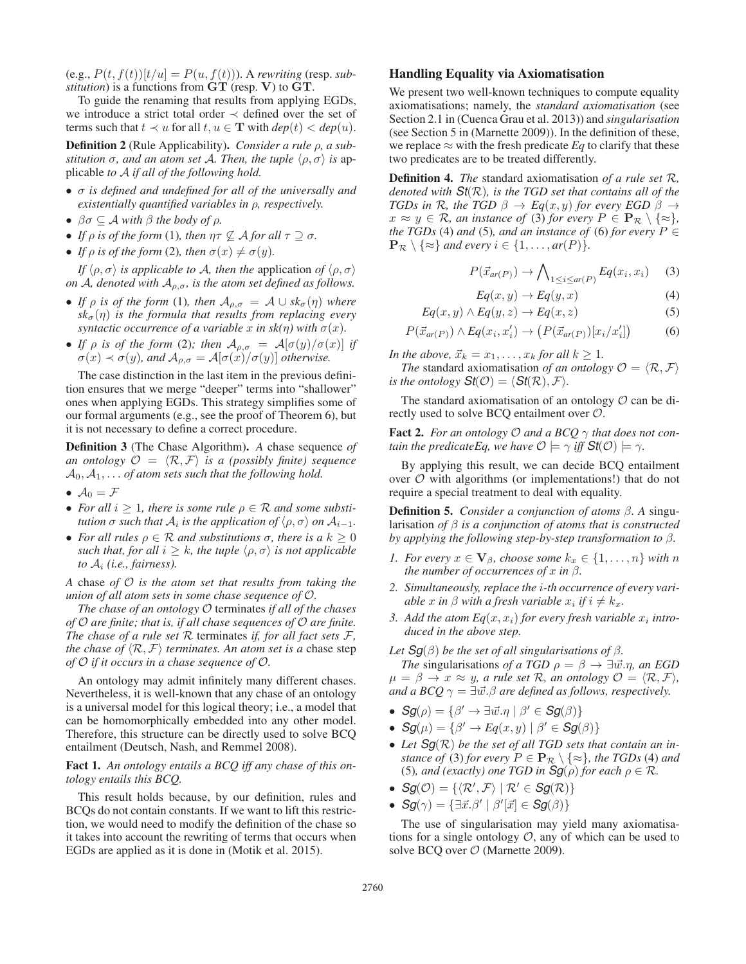$(e.g., P(t, f(t))[t/u] = P(u, f(t))$ . A *rewriting* (resp. *substitution*) is a functions from **GT** (resp. **V**) to **GT**.

To guide the renaming that results from applying EGDs, we introduce a strict total order ≺ defined over the set of terms such that  $t \prec u$  for all  $t, u \in \mathbf{T}$  with  $dep(t) < dep(u)$ .

Definition 2 (Rule Applicability). *Consider a rule* ρ*, a substitution*  $\sigma$ *, and an atom set A. Then, the tuple*  $\langle \rho, \sigma \rangle$  *is* applicable *to* A *if all of the following hold.*

- σ *is defined and undefined for all of the universally and existentially quantified variables in* ρ*, respectively.*
- $\beta \sigma \subseteq A$  *with*  $\beta$  *the body of*  $\rho$ *.*
- *If*  $\rho$  *is of the form* (1)*, then*  $\eta \tau \nsubseteq A$  *for all*  $\tau \supset \sigma$ *.*
- *If*  $\rho$  *is of the form* (2)*, then*  $\sigma(x) \neq \sigma(y)$ *.*

*If*  $\langle \rho, \sigma \rangle$  *is applicable to A, then the application of*  $\langle \rho, \sigma \rangle$ *on* A, denoted with  $A_{\rho,\sigma}$ , is the atom set defined as follows.

- *If*  $\rho$  *is of the form* (1)*, then*  $A_{\rho,\sigma} = A \cup sk_{\sigma}(\eta)$  *where*  $sk_{\sigma}(\eta)$  *is the formula that results from replacing every syntactic occurrence of a variable* x *in sk(* $\eta$ *) with*  $\sigma(x)$ *.*
- *If*  $\rho$  *is of the form* (2)*; then*  $\mathcal{A}_{\rho,\sigma} = \mathcal{A}[\sigma(y)/\sigma(x)]$  *if*  $\sigma(x) \prec \sigma(y)$ *, and*  $\mathcal{A}_{\rho,\sigma} = \mathcal{A}[\sigma(x)/\sigma(y)]$  *otherwise.*

The case distinction in the last item in the previous definition ensures that we merge "deeper" terms into "shallower" ones when applying EGDs. This strategy simplifies some of our formal arguments (e.g., see the proof of Theorem 6), but it is not necessary to define a correct procedure.

Definition 3 (The Chase Algorithm). *A* chase sequence *of an ontology*  $\mathcal{O} = \langle \mathcal{R}, \mathcal{F} \rangle$  *is a (possibly finite) sequence*  $A_0, A_1, \ldots$  *of atom sets such that the following hold.* 

- $\mathcal{A}_0 = \mathcal{F}$
- *For all*  $i \geq 1$ *, there is some rule*  $\rho \in \mathcal{R}$  *and some substitution*  $\sigma$  *such that*  $A_i$  *is the application of*  $\langle \rho, \sigma \rangle$  *on*  $A_{i-1}$ *.*
- *For all rules*  $\rho \in \mathcal{R}$  *and substitutions*  $\sigma$ *, there is a*  $k \geq 0$ *such that, for all*  $i \geq k$ *, the tuple*  $\langle \rho, \sigma \rangle$  *is not applicable to*  $A_i$  *(i.e., fairness).*

*A* chase *of* O *is the atom set that results from taking the union of all atom sets in some chase sequence of* O*.*

*The chase of an ontology* O terminates *if all of the chases of* O *are finite; that is, if all chase sequences of* O *are finite. The chase of a rule set*  $R$  terminates *if, for all fact sets*  $F$ *, the chase of*  $\langle \mathcal{R}, \mathcal{F} \rangle$  *terminates. An atom set is a chase step of* O *if it occurs in a chase sequence of* O*.*

An ontology may admit infinitely many different chases. Nevertheless, it is well-known that any chase of an ontology is a universal model for this logical theory; i.e., a model that can be homomorphically embedded into any other model. Therefore, this structure can be directly used to solve BCQ entailment (Deutsch, Nash, and Remmel 2008).

## Fact 1. *An ontology entails a BCQ iff any chase of this ontology entails this BCQ.*

This result holds because, by our definition, rules and BCQs do not contain constants. If we want to lift this restriction, we would need to modify the definition of the chase so it takes into account the rewriting of terms that occurs when EGDs are applied as it is done in (Motik et al. 2015).

#### Handling Equality via Axiomatisation

We present two well-known techniques to compute equality axiomatisations; namely, the *standard axiomatisation* (see Section 2.1 in (Cuenca Grau et al. 2013)) and *singularisation* (see Section 5 in (Marnette 2009)). In the definition of these, we replace  $\approx$  with the fresh predicate *Eq* to clarify that these two predicates are to be treated differently.

Definition 4. *The* standard axiomatisation *of a rule set* R*, denoted with St*(R)*, is the TGD set that contains all of the TGDs in*  $\mathcal{R}$ *, the TGD*  $\beta \rightarrow Eq(x, y)$  *for every EGD*  $\beta \rightarrow$  $x \approx y \in \mathcal{R}$ , an instance of (3) for every  $P \in \mathbf{P}_{\mathcal{R}} \setminus \{\approx\}$ , *the TGDs* (4) *and* (5)*, and an instance of* (6) *for every*  $P \in$  $\mathbf{P}_{\mathcal{R}} \setminus \{ \approx \}$  *and every*  $i \in \{1, \ldots, ar(P)\}.$ 

$$
P(\vec{x}_{ar(P)}) \to \bigwedge_{1 \le i \le ar(P)} Eq(x_i, x_i) \tag{3}
$$

$$
Eq(x, y) \to Eq(y, x) \tag{4}
$$

$$
Eq(x, y) \land Eq(y, z) \to Eq(x, z) \tag{5}
$$

$$
P(\vec{x}_{ar(P)}) \wedge Eq(x_i, x'_i) \rightarrow \left(P(\vec{x}_{ar(P)})[x_i/x'_i]\right) \tag{6}
$$

*In the above,*  $\vec{x}_k = x_1, \ldots, x_k$  *for all*  $k \geq 1$ *.* 

*The* standard axiomatisation *of an ontology*  $\mathcal{O} = \langle \mathcal{R}, \mathcal{F} \rangle$ *is the ontology*  $\mathsf{St}(\mathcal{O}) = \langle \mathsf{St}(\mathcal{R}), \mathcal{F} \rangle$ .

The standard axiomatisation of an ontology  $\mathcal O$  can be directly used to solve BCQ entailment over O.

**Fact 2.** *For an ontology*  $O$  *and a BCQ*  $\gamma$  *that does not contain the predicateEq, we have*  $\mathcal{O} \models \gamma$  *iff*  $\mathsf{St}(\mathcal{O}) \models \gamma$ .

By applying this result, we can decide BCQ entailment over  $O$  with algorithms (or implementations!) that do not require a special treatment to deal with equality.

Definition 5. *Consider a conjunction of atoms* β*. A* singularisation *of* β *is a conjunction of atoms that is constructed by applying the following step-by-step transformation to* β*.*

- *1. For every*  $x \in V_\beta$ *, choose some*  $k_x \in \{1, \ldots, n\}$  *with* n *the number of occurrences of*  $x$  *in*  $\beta$ *.*
- *2. Simultaneously, replace the* i*-th occurrence of every variable* x *in*  $\beta$  *with a fresh variable*  $x_i$  *if*  $i \neq k_x$ *.*
- 3. Add the atom  $Eq(x, x_i)$  for every fresh variable  $x_i$  intro*duced in the above step.*

*Let*  $\mathbf{S}g(\beta)$  *be the set of all singularisations of*  $\beta$ *.* 

*The* singularisations *of a TGD*  $\rho = \beta \rightarrow \exists \vec{w}.\eta$ , *an EGD*  $\mu = \beta \rightarrow x \approx y$ , a rule set R, an ontology  $\mathcal{O} = \langle \mathcal{R}, \mathcal{F} \rangle$ , and a BCQ  $\gamma = \exists \vec{w}.\beta$  are defined as follows, respectively.

- $\mathcal{S}g(\rho) = \{ \beta' \rightarrow \exists \vec{w}.\eta \mid \beta' \in \mathcal{S}g(\beta) \}$
- $\mathcal{S}g(\mu) = \{\beta' \rightarrow Eq(x, y) \mid \beta' \in \mathcal{S}g(\beta)\}\$
- *Let Sg*(R) *be the set of all TGD sets that contain an instance of* (3) *for every*  $P \in \mathbf{P}_{\mathcal{R}} \setminus \{\approx\}$ *, the TGDs* (4) *and* (5)*, and (exactly) one TGD in*  $\mathbf{Sg}(\rho)$  *for each*  $\rho \in \mathcal{R}$ *.*
- $\bullet$   $\mathcal{S}g(\mathcal{O}) = {\langle \mathcal{R}', \mathcal{F} \rangle \mid \mathcal{R}' \in \mathcal{S}g(\mathcal{R}) \}$ <br>  $\bullet$   $\mathcal{S}g(\bullet)$   $\circ$   $\Box \exists \mathcal{Q} \cup \mathcal{Q}' \Box \subset \mathcal{S}g(\mathcal{Q})$
- $Sg(\gamma) = {\exists \vec{x}. \beta' \mid \beta'[\vec{x}] \in Sg(\beta)}$

The use of singularisation may yield many axiomatisations for a single ontology  $\mathcal{O}$ , any of which can be used to solve BCQ over  $\mathcal{O}$  (Marnette 2009).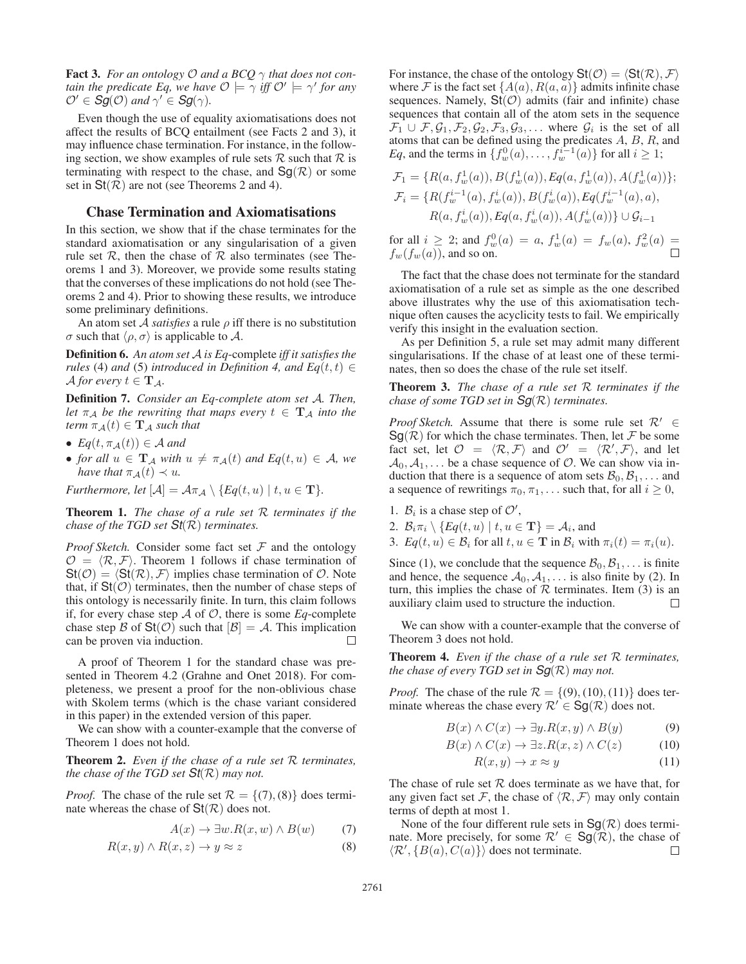**Fact 3.** *For an ontology*  $O$  *and a BCQ*  $\gamma$  *that does not contain the predicate Eq, we have*  $\mathcal{O} \models \gamma$  *iff*  $\mathcal{O}' \models \gamma'$  *for any*  $\mathcal{O}' \in \mathcal{S}g(\mathcal{O})$  and  $\gamma' \in \mathcal{S}g(\gamma)$ .

Even though the use of equality axiomatisations does not affect the results of BCQ entailment (see Facts 2 and 3), it may influence chase termination. For instance, in the following section, we show examples of rule sets  $R$  such that  $R$  is terminating with respect to the chase, and  $\text{Sq}(\mathcal{R})$  or some set in  $St(R)$  are not (see Theorems 2 and 4).

#### Chase Termination and Axiomatisations

In this section, we show that if the chase terminates for the standard axiomatisation or any singularisation of a given rule set  $\mathcal R$ , then the chase of  $\mathcal R$  also terminates (see Theorems 1 and 3). Moreover, we provide some results stating that the converses of these implications do not hold (see Theorems 2 and 4). Prior to showing these results, we introduce some preliminary definitions.

An atom set A *satisfies* a rule ρ iff there is no substitution σ such that  $\langle \rho, \sigma \rangle$  is applicable to A.

Definition 6. *An atom set* A *is Eq*-complete *iff it satisfies the rules* (4) *and* (5) *introduced in Definition 4, and*  $Eq(t, t) \in$  $\mathcal A$  *for every*  $t \in \mathbf T_A$ *.* 

Definition 7. *Consider an Eq-complete atom set* A*. Then, let*  $\pi_A$  *be the rewriting that maps every*  $t \in \mathbf{T}_A$  *into the term*  $\pi_{\mathcal{A}}(t) \in \mathbf{T}_{\mathcal{A}}$  *such that* 

- $Eq(t, \pi_{\mathcal{A}}(t)) \in \mathcal{A}$  and
- *for all*  $u \in \mathbf{T}_\mathcal{A}$  *with*  $u \neq \pi_\mathcal{A}(t)$  *and*  $Eq(t, u) \in \mathcal{A}$ *, we have that*  $\pi_{\mathcal{A}}(t) \prec u$ *.*

*Furthermore, let*  $[\mathcal{A}] = \mathcal{A}\pi_{\mathcal{A}} \setminus \{Eq(t, u) \mid t, u \in \mathbf{T}\}.$ 

Theorem 1. *The chase of a rule set* R *terminates if the chase of the TGD set St*(R) *terminates.*

*Proof Sketch.* Consider some fact set  $F$  and the ontology  $\mathcal{O} = \langle \mathcal{R}, \mathcal{F} \rangle$ . Theorem 1 follows if chase termination of  $St(\mathcal{O}) = \langle St(\mathcal{R}), \mathcal{F} \rangle$  implies chase termination of  $\mathcal{O}$ . Note that, if  $St(\mathcal{O})$  terminates, then the number of chase steps of this ontology is necessarily finite. In turn, this claim follows if, for every chase step  $A$  of  $O$ , there is some  $Eq$ -complete chase step B of  $\text{St}(\mathcal{O})$  such that  $[\mathcal{B}] = \mathcal{A}$ . This implication can be proven via induction. can be proven via induction.

A proof of Theorem 1 for the standard chase was presented in Theorem 4.2 (Grahne and Onet 2018). For completeness, we present a proof for the non-oblivious chase with Skolem terms (which is the chase variant considered in this paper) in the extended version of this paper.

We can show with a counter-example that the converse of Theorem 1 does not hold.

Theorem 2. *Even if the chase of a rule set* R *terminates, the chase of the TGD set St*(R) *may not.*

*Proof.* The chase of the rule set  $\mathcal{R} = \{(7), (8)\}$  does terminate whereas the chase of  $St(R)$  does not.

$$
A(x) \to \exists w. R(x, w) \land B(w) \tag{7}
$$

$$
R(x, y) \land R(x, z) \to y \approx z \tag{8}
$$

For instance, the chase of the ontology  $St(\mathcal{O}) = \langle St(\mathcal{R}), \mathcal{F} \rangle$ where F is the fact set  $\{A(a), R(a, a)\}\$  admits infinite chase sequences. Namely,  $St(\mathcal{O})$  admits (fair and infinite) chase sequences that contain all of the atom sets in the sequence  $\mathcal{F}_1 \cup \mathcal{F}, \mathcal{G}_1, \mathcal{F}_2, \mathcal{G}_2, \mathcal{F}_3, \mathcal{G}_3, \ldots$  where  $\mathcal{G}_i$  is the set of all atoms that can be defined using the predicates  $A, B, R$ , and *Eq*, and the terms in  $\{f_w^0(a), \ldots, f_w^{i-1}(a)\}$  for all  $i \geq 1$ ;

$$
\mathcal{F}_1 = \{ R(a, f_w^1(a)), B(f_w^1(a)), Eq(a, f_w^1(a)), A(f_w^1(a)) \};
$$
  
\n
$$
\mathcal{F}_i = \{ R(f_w^{i-1}(a), f_w^i(a)), B(f_w^i(a)), Eq(f_w^{i-1}(a), a),
$$
  
\n
$$
R(a, f_w^i(a)), Eq(a, f_w^i(a)), A(f_w^i(a)) \} \cup \mathcal{G}_{i-1}
$$

for all  $i \geq 2$ ; and  $f_w^0(a) = a$ ,  $f_w^1(a) = f_w(a)$ ,  $f_w^2(a) =$  $f_w(f_w(a))$ , and so on.

The fact that the chase does not terminate for the standard axiomatisation of a rule set as simple as the one described above illustrates why the use of this axiomatisation technique often causes the acyclicity tests to fail. We empirically verify this insight in the evaluation section.

As per Definition 5, a rule set may admit many different singularisations. If the chase of at least one of these terminates, then so does the chase of the rule set itself.

Theorem 3. *The chase of a rule set* R *terminates if the chase of some TGD set in Sg*(R) *terminates.*

*Proof Sketch.* Assume that there is some rule set  $\mathcal{R}' \in$  $Sg(R)$  for which the chase terminates. Then, let F be some fact set, let  $\mathcal{O} = \langle \mathcal{R}, \mathcal{F} \rangle$  and  $\mathcal{O}' = \langle \mathcal{R}', \mathcal{F} \rangle$ , and let  $A_0, A_1, \ldots$  be a chase sequence of  $\mathcal{O}$ . We can show via induction that there is a sequence of atom sets  $\mathcal{B}_0, \mathcal{B}_1, \ldots$  and a sequence of rewritings  $\pi_0, \pi_1, \ldots$  such that, for all  $i \geq 0$ ,

- 1.  $B_i$  is a chase step of  $O'$ ,
- 2.  $\mathcal{B}_i \pi_i \setminus \{Eq(t, u) \mid t, u \in \mathbf{T}\} = \mathcal{A}_i$ , and
- 3.  $Eq(t, u) \in \mathcal{B}_i$  for all  $t, u \in \mathbf{T}$  in  $\mathcal{B}_i$  with  $\pi_i(t) = \pi_i(u)$ .

Since (1), we conclude that the sequence  $\mathcal{B}_0, \mathcal{B}_1, \ldots$  is finite and hence, the sequence  $A_0, A_1, \ldots$  is also finite by (2). In turn, this implies the chase of  $R$  terminates. Item (3) is an auxiliary claim used to structure the induction.  $\Box$ 

We can show with a counter-example that the converse of Theorem 3 does not hold.

Theorem 4. *Even if the chase of a rule set* R *terminates, the chase of every TGD set in Sg*(R) *may not.*

*Proof.* The chase of the rule  $\mathcal{R} = \{(9), (10), (11)\}\$  does terminate whereas the chase every  $\mathcal{R}' \in \text{Sg}(\mathcal{R})$  does not.

$$
B(x) \land C(x) \to \exists y. R(x, y) \land B(y) \tag{9}
$$

$$
B(x) \land C(x) \to \exists z. R(x, z) \land C(z) \tag{10}
$$

$$
R(x, y) \to x \approx y \tag{11}
$$

The chase of rule set  $R$  does terminate as we have that, for any given fact set F, the chase of  $\langle \mathcal{R}, \mathcal{F} \rangle$  may only contain terms of depth at most 1.

None of the four different rule sets in  $\text{Sg}(\mathcal{R})$  does terminate. More precisely, for some  $\mathcal{R}' \in \text{Sg}(\mathcal{R})$ , the chase of  $\langle \mathcal{R}' | \{B(a) C(a)\}\rangle$  does not terminate  $\langle \mathcal{R}', \{B(a), C(a)\}\rangle$  does not terminate.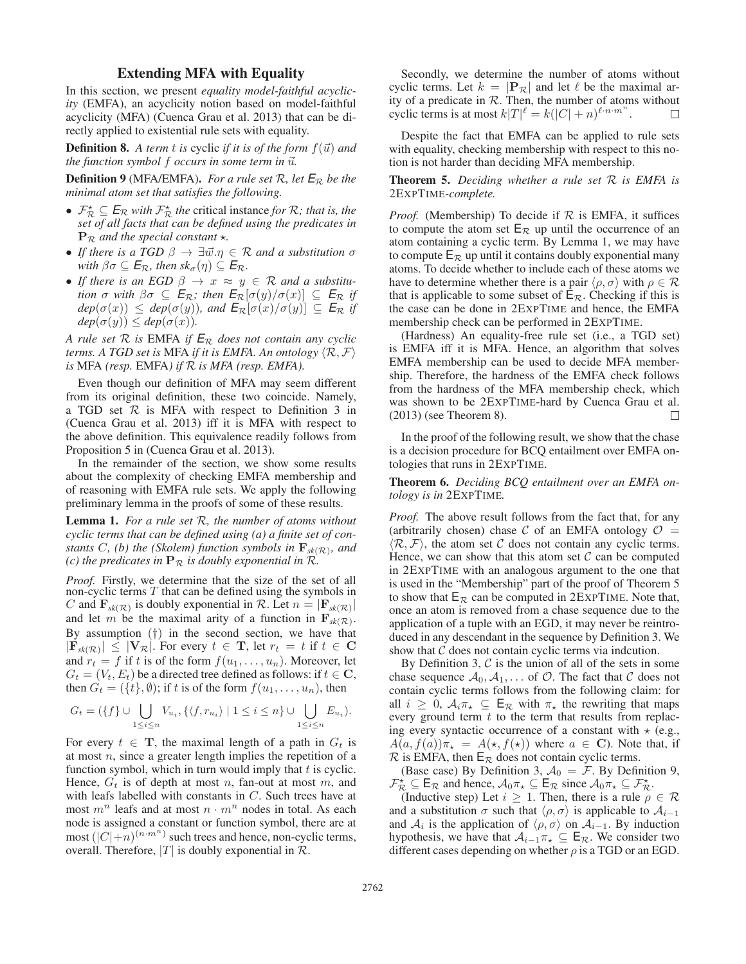## Extending MFA with Equality

In this section, we present *equality model-faithful acyclicity* (EMFA), an acyclicity notion based on model-faithful acyclicity (MFA) (Cuenca Grau et al. 2013) that can be directly applied to existential rule sets with equality.

**Definition 8.** A term t is cyclic if it is of the form  $f(\vec{u})$  and the function symbol  $f$  occurs in some term in  $\vec{u}.$ 

**Definition 9** (MFA/EMFA). *For a rule set*  $\mathcal{R}$ *, let*  $E_{\mathcal{R}}$  *be the minimal atom set that satisfies the following.*

- $\mathcal{F}_{\mathcal{R}}^{\star} \subseteq E_{\mathcal{R}}$  *with*  $\mathcal{F}_{\mathcal{R}}^{\star}$  *the* critical instance *for*  $\mathcal{R}$ *; that is, the set of all facts that can be defined using the predicates in set of all facts that can be defined using the predicates in*  $\mathbf{P}_{\mathcal{R}}$  *and the special constant*  $\star$ .
- If there is a TGD  $\beta \to \exists \vec{w}.\eta \in \mathcal{R}$  and a substitution  $\sigma$ *with*  $\beta \sigma \subseteq E_{\mathcal{R}}$ *, then*  $sk_{\sigma}(\eta) \subseteq E_{\mathcal{R}}$ *.*
- If there is an EGD  $\beta \rightarrow x \approx y \in \mathcal{R}$  and a substitu*tion*  $\sigma$  *with*  $\beta \sigma \subseteq E_{\mathcal{R}}$ *; then*  $E_{\mathcal{R}}[\sigma(y)/\sigma(x)] \subseteq E_{\mathcal{R}}$  *if*  $dep(\sigma(x)) \leq dep(\sigma(y))$ *, and*  $E_{\mathcal{R}}[\sigma(x)/\sigma(y)] \subseteq E_{\mathcal{R}}$  *if*  $dep(\sigma(y)) \leq dep(\sigma(x)).$

*A rule set* <sup>R</sup> *is* EMFA *if <sup>E</sup>*<sup>R</sup> *does not contain any cyclic terms. A TGD set is* MFA *if it is EMFA. An ontology*  $\langle \mathcal{R}, \mathcal{F} \rangle$ *is* MFA *(resp.* EMFA*) if* R *is MFA (resp. EMFA).*

Even though our definition of MFA may seem different from its original definition, these two coincide. Namely, a TGD set  $R$  is MFA with respect to Definition 3 in (Cuenca Grau et al. 2013) iff it is MFA with respect to the above definition. This equivalence readily follows from Proposition 5 in (Cuenca Grau et al. 2013).

In the remainder of the section, we show some results about the complexity of checking EMFA membership and of reasoning with EMFA rule sets. We apply the following preliminary lemma in the proofs of some of these results.

Lemma 1. *For a rule set* R*, the number of atoms without cyclic terms that can be defined using (a) a finite set of constants* C*,* (b) the (Skolem) function symbols in  $\mathbf{F}_{sk(\mathcal{R})}$ *, and (c) the predicates in*  $\mathbf{P}_{\mathcal{R}}$  *is doubly exponential in*  $\mathcal{R}_{\mathcal{R}}$ *.* 

*Proof.* Firstly, we determine that the size of the set of all non-cyclic terms  $T$  that can be defined using the symbols in C and  $\mathbf{F}_{sk(\mathcal{R})}$  is doubly exponential in R. Let  $n = |\mathbf{F}_{sk(\mathcal{R})}|$ and let m be the maximal arity of a function in  $\mathbf{F}_{sk}(\mathcal{R})$ . By assumption  $(†)$  in the second section, we have that  $|\mathbf{F}_{sk}(\mathcal{R})| \leq |\mathbf{V}_{\mathcal{R}}|$ . For every  $t \in \mathbf{T}$ , let  $r_t = t$  if  $t \in \mathbf{C}$ and  $r_t = f$  if t is of the form  $f(u_1, \ldots, u_n)$ . Moreover, let  $G_t = (V_t, E_t)$  be a directed tree defined as follows: if  $t \in \mathbb{C}$ , then  $G_t = (\{t\}, \emptyset)$ ; if t is of the form  $f(u_1, \ldots, u_n)$ , then

$$
G_t = (\{f\} \cup \bigcup_{1 \leq i \leq n} V_{u_i}, \{ \langle f, r_{u_i} \rangle \mid 1 \leq i \leq n \} \cup \bigcup_{1 \leq i \leq n} E_{u_i} ).
$$

For every  $t \in \mathbf{T}$ , the maximal length of a path in  $G_t$  is at most  $n$ , since a greater length implies the repetition of a function symbol, which in turn would imply that  $t$  is cyclic. Hence,  $G_t$  is of depth at most n, fan-out at most m, and with leafs labelled with constants in C. Such trees have at most  $m^n$  leafs and at most  $n \cdot m^n$  nodes in total. As each node is assigned a constant or function symbol, there are at most  $(|C|+n)^{(n\cdot m^n)}$  such trees and hence, non-cyclic terms, overall. Therefore,  $|T|$  is doubly exponential in  $\mathcal{R}$ .

Secondly, we determine the number of atoms without cyclic terms. Let  $k = |\mathbf{P}_{\mathcal{R}}|$  and let  $\ell$  be the maximal arity of a predicate in  $R$ . Then, the number of atoms without cyclic terms is at most  $k|T|^{\ell} = k(|C|+n)^{\ell \cdot n \cdot m^n}$ .  $\Box$ 

Despite the fact that EMFA can be applied to rule sets with equality, checking membership with respect to this notion is not harder than deciding MFA membership.

Theorem 5. *Deciding whether a rule set* R *is EMFA is* 2EXPTIME*-complete.*

*Proof.* (Membership) To decide if  $R$  is EMFA, it suffices to compute the atom set  $E_R$  up until the occurrence of an atom containing a cyclic term. By Lemma 1, we may have to compute  $E_R$  up until it contains doubly exponential many atoms. To decide whether to include each of these atoms we have to determine whether there is a pair  $\langle \rho, \sigma \rangle$  with  $\rho \in \mathcal{R}$ that is applicable to some subset of  $E_{\mathcal{R}}$ . Checking if this is the case can be done in 2EXPTIME and hence, the EMFA membership check can be performed in 2EXPTIME.

(Hardness) An equality-free rule set (i.e., a TGD set) is EMFA iff it is MFA. Hence, an algorithm that solves EMFA membership can be used to decide MFA membership. Therefore, the hardness of the EMFA check follows from the hardness of the MFA membership check, which was shown to be 2EXPTIME-hard by Cuenca Grau et al. (2013) (see Theorem 8).  $\Box$ 

In the proof of the following result, we show that the chase is a decision procedure for BCQ entailment over EMFA ontologies that runs in 2EXPTIME.

Theorem 6. *Deciding BCQ entailment over an EMFA ontology is in* 2EXPTIME*.*

*Proof.* The above result follows from the fact that, for any (arbitrarily chosen) chase C of an EMFA ontology  $\mathcal{O}$  =  $\langle \mathcal{R}, \mathcal{F} \rangle$ , the atom set C does not contain any cyclic terms. Hence, we can show that this atom set  $\mathcal C$  can be computed in 2EXPTIME with an analogous argument to the one that is used in the "Membership" part of the proof of Theorem 5 to show that  $E_R$  can be computed in 2EXPTIME. Note that, once an atom is removed from a chase sequence due to the application of a tuple with an EGD, it may never be reintroduced in any descendant in the sequence by Definition 3. We show that  $C$  does not contain cyclic terms via indcution.

By Definition 3,  $\mathcal C$  is the union of all of the sets in some chase sequence  $A_0, A_1, \ldots$  of  $O$ . The fact that C does not contain cyclic terms follows from the following claim: for all  $i \geq 0$ ,  $A_i \pi_{\star} \subseteq \mathsf{E}_{\mathcal{R}}$  with  $\pi_{\star}$  the rewriting that maps every ground term  $t$  to the term that results from replacing every syntactic occurrence of a constant with  $\star$  (e.g.,  $A(a, f(a))\pi_{\star} = A(\star, f(\star))$  where  $a \in \mathbb{C}$ ). Note that, if  $\mathcal R$  is EMFA, then  $\mathsf E_{\mathcal R}$  does not contain cyclic terms.

(Base case) By Definition 3,  $A_0 = \mathcal{F}$ . By Definition 9,  $\mathcal{F}_{R}^{\star} \subseteq \mathsf{E}_{R}$  and hence,  $\mathcal{A}_{0}\pi_{\star} \subseteq \mathsf{E}_{R}$  since  $\mathcal{A}_{0}\pi_{\star} \subseteq \mathcal{F}_{R}^{\star}$ .<br>(Inductive step) Let  $i > 1$  Then, there is a rule  $\rho$ 

(Inductive step) Let  $i \geq 1$ . Then, there is a rule  $\rho \in \mathcal{R}$ and a substitution  $\sigma$  such that  $\langle \rho, \sigma \rangle$  is applicable to  $\mathcal{A}_{i-1}$ and  $A_i$  is the application of  $\langle \rho, \sigma \rangle$  on  $A_{i-1}$ . By induction hypothesis, we have that  $A_{i-1}\pi_{\star} \subseteq E_{\mathcal{R}}$ . We consider two different cases depending on whether  $\rho$  is a TGD or an EGD.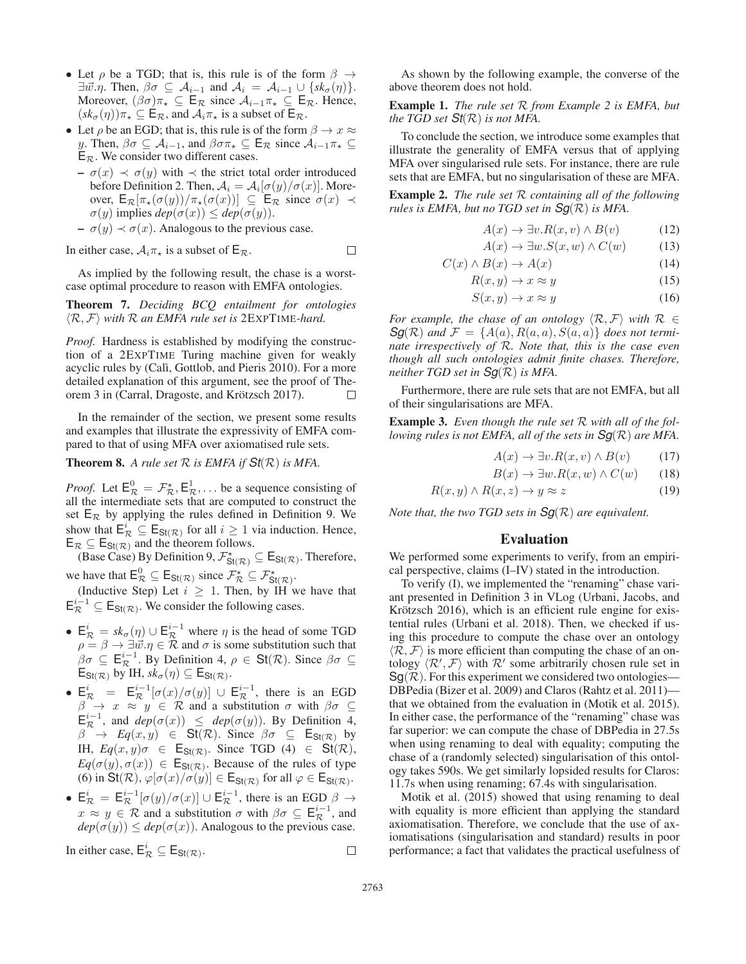- Let  $\rho$  be a TGD; that is, this rule is of the form  $\beta \rightarrow$  $\exists \vec{w}.\eta$ . Then,  $\beta \sigma \subseteq \mathcal{A}_{i-1}$  and  $\mathcal{A}_i = \mathcal{A}_{i-1} \cup \{sk_{\sigma}(\eta)\}.$ Moreover,  $(\beta \sigma) \pi_{\star} \subseteq \mathsf{E}_{\mathcal{R}}$  since  $\mathcal{A}_{i-1} \pi_{\star} \subseteq \mathsf{E}_{\mathcal{R}}$ . Hence,  $(sk_{\sigma}(\eta))\pi_{\star}\subseteq \mathsf{E}_{\mathcal{R}}$ , and  $\mathcal{A}_{i}\pi_{\star}$  is a subset of  $\mathsf{E}_{\mathcal{R}}$ .
- Let  $\rho$  be an EGD; that is, this rule is of the form  $\beta \to x \approx$ y. Then,  $\beta\sigma \subseteq A_{i-1}$ , and  $\beta\sigma\pi_{\star} \subseteq E_{\mathcal{R}}$  since  $A_{i-1}\pi_{\star} \subseteq$  $E_{\mathcal{R}}$ . We consider two different cases.
	- $\sigma(x) \prec \sigma(y)$  with  $\prec$  the strict total order introduced before Definition 2. Then,  $A_i = A_i[\sigma(y)/\sigma(x)]$ . Moreover,  $E_{\mathcal{R}}[\pi_{\star}(\sigma(y))/\pi_{\star}(\sigma(x))] \subseteq E_{\mathcal{R}}$  since  $\sigma(x) \prec$  $\sigma(y)$  implies  $dep(\sigma(x)) \leq dep(\sigma(y)).$
	- $\sigma(y) \prec \sigma(x)$ . Analogous to the previous case.

In either case,  $A_i \pi_{\star}$  is a subset of  $E_{\mathcal{R}}$ .

 $\Box$ 

As implied by the following result, the chase is a worstcase optimal procedure to reason with EMFA ontologies.

Theorem 7. *Deciding BCQ entailment for ontologies*  $\langle \mathcal{R}, \mathcal{F} \rangle$  with  $\mathcal{R}$  an EMFA rule set is  $2$ EXPTIME-hard.

*Proof.* Hardness is established by modifying the construction of a 2EXPTIME Turing machine given for weakly acyclic rules by (Calì, Gottlob, and Pieris 2010). For a more detailed explanation of this argument, see the proof of Theorem 3 in (Carral, Dragoste, and Krötzsch 2017). П

In the remainder of the section, we present some results and examples that illustrate the expressivity of EMFA compared to that of using MFA over axiomatised rule sets.

**Theorem 8.** A rule set  $R$  is EMFA if  $St(R)$  is MFA.

*Proof.* Let  $E^0_R = \mathcal{F}^*_{\mathcal{R}}, E^1_{\mathcal{R}}, \dots$  be a sequence consisting of all the intermediate sets that are computed to construct the set  $E_R$  by applying the rules defined in Definition 9. We<br>show that  $E^i \subseteq E_{\text{max}}$  for all  $i \ge 1$  via induction. Hence show that  $E^i_R \subseteq E_{\text{St}(\mathcal{R})}$  for all  $i \ge 1$  via induction. Hence,<br> $E_R \subseteq E_{\text{St}(\mathcal{R})}$  and the theorem follows

 $\mathsf{E}_{\mathcal{R}} \subseteq \mathsf{E}_{\mathsf{St}(\mathcal{R})}$  and the theorem follows.<br>
(Base Case) By Definition 9,  $\mathcal{F}_{\mathsf{St}(\mathcal{R})}^{\star} \subseteq \mathsf{E}_{\mathsf{St}(\mathcal{R})}$ . Therefore,

we have that  $\mathsf{E}_{\mathcal{R}}^0 \subseteq \mathsf{E}_{\mathsf{St}(\mathcal{R})}$  since  $\mathcal{F}_{\mathcal{R}}^{\star} \subseteq \mathcal{F}_{\mathsf{St}(\mathcal{R})}^{\star}$ .<br>(Inductive Step) Let  $i \geq 1$ . Then, by IH we have that  $E_{\mathcal{R}}^{i-1} \subseteq E_{\text{St}(\mathcal{R})}$ . We consider the following cases.

- $\mathsf{E}_{\mathcal{R}}^i = sk_{\sigma}(\eta) \cup \mathsf{E}_{\mathcal{R}}^{i-1}$  where  $\eta$  is the head of some TGD  $\rho = \beta \to \exists \vec{w}.\eta \in \mathcal{R}$  and  $\sigma$  is some substitution such that  $\beta \sigma \subseteq \mathsf{E}_{\mathcal{R}}^{i-1}$ . By Definition 4,  $\rho \in \mathsf{St}(\mathcal{R})$ . Since  $\beta \sigma \subseteq \mathsf{E}_{\mathsf{S}(\mathcal{R})}$ . We IH  $\mathsf{sk}_-(n) \subseteq \mathsf{E}_{\mathsf{S}(\mathcal{R})}$ .  $\mathsf{E}_{\mathsf{St}(\mathcal{R})}$  by IH,  $sk_{\sigma}(\eta) \subseteq \mathsf{E}_{\mathsf{St}(\mathcal{R})}$ .
- $\mathsf{E}_{\mathcal{R}}^{i} = \mathsf{E}_{\mathcal{R}}^{i-1}[\sigma(x)/\sigma(y)] \cup \mathsf{E}_{\mathcal{R}}^{i-1}$ , there is an EGD<br>  $\beta \to x \approx y \in \mathcal{R}$  and a substitution  $\sigma$  with  $\beta\sigma \subseteq$  $\mathsf{E}^{i-1}_{\mathcal{R}}$ , and  $\mathsf{dep}(\sigma(x)) \leq \mathsf{dep}(\sigma(y))$ . By Definition 4,<br> $\beta \to \mathsf{Eq}(x, y) \in \mathsf{St}(\mathcal{R})$  Since  $\beta \sigma \subseteq \mathsf{F}_{\mathsf{S}(\mathcal{R})}$  by  $\beta \rightarrow Eq(x, y) \in \text{St}(\mathcal{R})$ . Since  $\beta \sigma \subseteq \mathsf{E}_{\text{St}(\mathcal{R})}$  by IH,  $Eq(x,y)\sigma \in \mathsf{E}_{\mathsf{St}(\mathcal{R})}$ . Since TGD (4)  $\in \mathsf{St}(\mathcal{R})$ ,  $Eq(\sigma(y), \sigma(x)) \in \mathsf{E}_{\mathsf{St}(\mathcal{R})}$ . Because of the rules of type (6) in  $\text{St}(\mathcal{R}), \varphi[\sigma(x)/\sigma(y)] \in \mathsf{E}_{\text{St}(\mathcal{R})}$  for all  $\varphi \in \mathsf{E}_{\text{St}(\mathcal{R})}$ .
- $\mathsf{E}_{\mathcal{R}}^{i} = \mathsf{E}_{\mathcal{R}}^{i-1}[\sigma(y)/\sigma(x)] \cup \mathsf{E}_{\mathcal{R}}^{i-1}$ , there is an EGD  $\beta \to$ <br> $\alpha \approx u \in \mathcal{R}$  and a substitution  $\sigma$  with  $\beta \sigma \in \mathsf{E}^{i-1}$  and  $x \approx y \in \mathcal{R}$  and a substitution  $\sigma$  with  $\beta \sigma \subseteq \mathsf{E}^{i-1}_{\mathcal{R}}$ , and  $den(\sigma(u)) \leq den(\sigma(x))$ . Analogous to the previous case  $dep(\sigma(y)) \leq dep(\sigma(x))$ . Analogous to the previous case.

In either case, 
$$
E_{\mathcal{R}}^i \subseteq E_{\text{St}(\mathcal{R})}
$$
.

As shown by the following example, the converse of the above theorem does not hold.

Example 1. *The rule set* R *from Example 2 is EMFA, but the TGD set*  $St(\mathcal{R})$  *is not MFA.* 

To conclude the section, we introduce some examples that illustrate the generality of EMFA versus that of applying MFA over singularised rule sets. For instance, there are rule sets that are EMFA, but no singularisation of these are MFA.

Example 2. *The rule set* R *containing all of the following rules is EMFA, but no TGD set in Sg*(R) *is MFA.*

$$
A(x) \to \exists v.R(x,v) \land B(v) \tag{12}
$$

$$
A(x) \to \exists w . S(x, w) \land C(w) \tag{13}
$$

$$
C(x) \wedge B(x) \to A(x) \tag{14}
$$

$$
R(x, y) \to x \approx y \tag{15}
$$

$$
S(x, y) \to x \approx y \tag{16}
$$

*For example, the chase of an ontology*  $\langle \mathcal{R}, \mathcal{F} \rangle$  *with*  $\mathcal{R} \in$  $Sg(\mathcal{R})$  and  $\mathcal{F} = \{A(a), R(a,a), S(a,a)\}\$  *does not terminate irrespectively of* R*. Note that, this is the case even though all such ontologies admit finite chases. Therefore, neither TGD set in Sg*(R) *is MFA.*

Furthermore, there are rule sets that are not EMFA, but all of their singularisations are MFA.

Example 3. *Even though the rule set* R *with all of the following rules is not EMFA, all of the sets in Sg*(R) *are MFA.*

$$
A(x) \to \exists v.R(x, v) \land B(v) \tag{17}
$$

$$
B(x) \to \exists w.R(x, w) \land C(w) \qquad (18)
$$

$$
R(x, y) \land R(x, z) \to y \approx z \tag{19}
$$

*Note that, the two TGD sets in Sg*(R) *are equivalent.*

#### Evaluation

We performed some experiments to verify, from an empirical perspective, claims (I–IV) stated in the introduction.

To verify (I), we implemented the "renaming" chase variant presented in Definition 3 in VLog (Urbani, Jacobs, and Krötzsch 2016), which is an efficient rule engine for existential rules (Urbani et al. 2018). Then, we checked if using this procedure to compute the chase over an ontology  $\langle \mathcal{R}, \mathcal{F} \rangle$  is more efficient than computing the chase of an ontology  $\langle \mathcal{R}', \mathcal{F} \rangle$  with  $\mathcal{R}'$  some arbitrarily chosen rule set in  $Sg(R)$ . For this experiment we considered two ontologies— DBPedia (Bizer et al. 2009) and Claros (Rahtz et al. 2011) that we obtained from the evaluation in (Motik et al. 2015). In either case, the performance of the "renaming" chase was far superior: we can compute the chase of DBPedia in 27.5s when using renaming to deal with equality; computing the chase of a (randomly selected) singularisation of this ontology takes 590s. We get similarly lopsided results for Claros: 11.7s when using renaming; 67.4s with singularisation.

Motik et al. (2015) showed that using renaming to deal with equality is more efficient than applying the standard axiomatisation. Therefore, we conclude that the use of axiomatisations (singularisation and standard) results in poor performance; a fact that validates the practical usefulness of

 $\Box$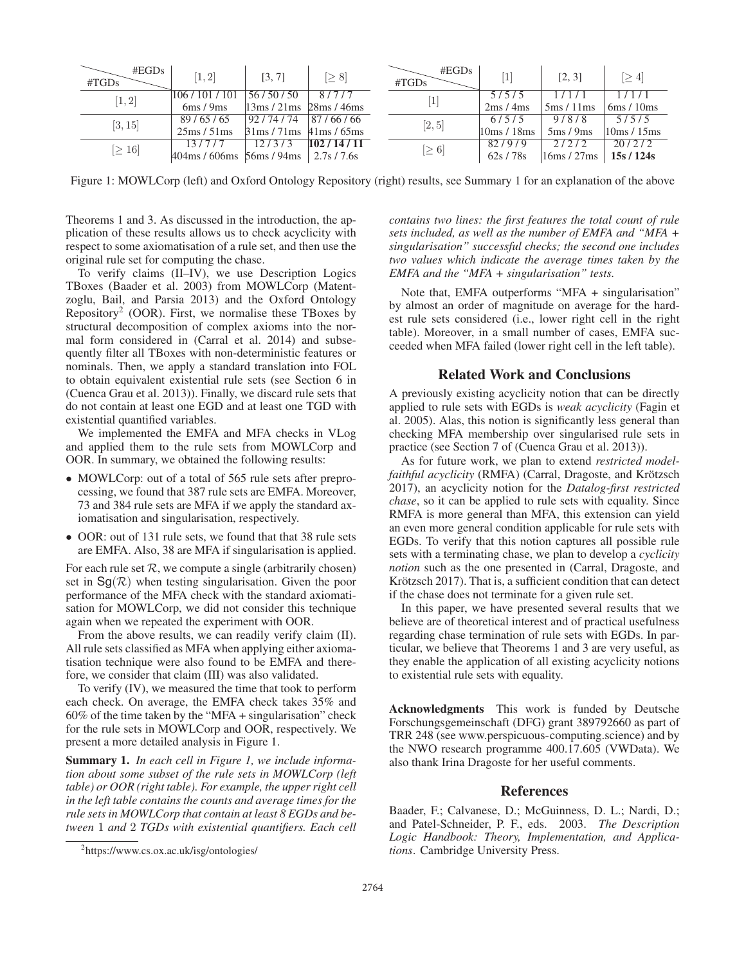| #EGDs<br>#TGDs | [1, 2]                                          | [3, 7]                                                    | $[\geq 8]$ |  | $\#EGDs$<br>#TGDs | [1]       | [2, 3]                       | $\geq 4$  |
|----------------|-------------------------------------------------|-----------------------------------------------------------|------------|--|-------------------|-----------|------------------------------|-----------|
| [1,2]          | 106/101/101                                     | 56/50/50                                                  | 8/7/7      |  |                   | 5/5/5     | 1/1/1                        | 1/1/1     |
|                | 6ms/9ms                                         | $13\,\text{ms}/21\,\text{ms}/28\,\text{ms}/46\,\text{ms}$ |            |  |                   | 2ms/4ms   | $5 \text{ms} / 11 \text{ms}$ | 6ms/10ms  |
| [3, 15]        | 89/65/65                                        | 92/74/74                                                  | 87/66/66   |  | [2, 5]            | 6/5/5     | 9/8/8                        | 5/5/5     |
|                | 25ms/51ms                                       | $31 \text{ms} / 71 \text{ms}$ 41 ms / 65 ms               |            |  |                   | 10ms/18ms | 5ms/9ms                      | 10ms/15ms |
| $[\geq 16]$    | 13/7/7                                          | 12/3/3                                                    | 102/14/11  |  | $[\geq 6]$        | 82/9/9    | 2/2/2                        | 20/2/2    |
|                | $404 \text{ms}$ / 606 ms $56 \text{ms}$ / 94 ms |                                                           | 2.7s/7.6s  |  |                   | 62s/78s   | 16ms/27ms                    | 15s/124s  |

Figure 1: MOWLCorp (left) and Oxford Ontology Repository (right) results, see Summary 1 for an explanation of the above

Theorems 1 and 3. As discussed in the introduction, the application of these results allows us to check acyclicity with respect to some axiomatisation of a rule set, and then use the original rule set for computing the chase.

To verify claims (II–IV), we use Description Logics TBoxes (Baader et al. 2003) from MOWLCorp (Matentzoglu, Bail, and Parsia 2013) and the Oxford Ontology Repository<sup>2</sup> (OOR). First, we normalise these TBoxes by structural decomposition of complex axioms into the normal form considered in (Carral et al. 2014) and subsequently filter all TBoxes with non-deterministic features or nominals. Then, we apply a standard translation into FOL to obtain equivalent existential rule sets (see Section 6 in (Cuenca Grau et al. 2013)). Finally, we discard rule sets that do not contain at least one EGD and at least one TGD with existential quantified variables.

We implemented the EMFA and MFA checks in VLog and applied them to the rule sets from MOWLCorp and OOR. In summary, we obtained the following results:

- MOWLCorp: out of a total of 565 rule sets after preprocessing, we found that 387 rule sets are EMFA. Moreover, 73 and 384 rule sets are MFA if we apply the standard axiomatisation and singularisation, respectively.
- OOR: out of 131 rule sets, we found that that 38 rule sets are EMFA. Also, 38 are MFA if singularisation is applied.

For each rule set  $R$ , we compute a single (arbitrarily chosen) set in  $\text{Sq}(\mathcal{R})$  when testing singularisation. Given the poor performance of the MFA check with the standard axiomatisation for MOWLCorp, we did not consider this technique again when we repeated the experiment with OOR.

From the above results, we can readily verify claim (II). All rule sets classified as MFA when applying either axiomatisation technique were also found to be EMFA and therefore, we consider that claim (III) was also validated.

To verify (IV), we measured the time that took to perform each check. On average, the EMFA check takes 35% and 60% of the time taken by the "MFA + singularisation" check for the rule sets in MOWLCorp and OOR, respectively. We present a more detailed analysis in Figure 1.

Summary 1. *In each cell in Figure 1, we include information about some subset of the rule sets in MOWLCorp (left table) or OOR (right table). For example, the upper right cell in the left table contains the counts and average times for the rule sets in MOWLCorp that contain at least 8 EGDs and between* 1 *and* 2 *TGDs with existential quantifiers. Each cell*

*contains two lines: the first features the total count of rule sets included, as well as the number of EMFA and "MFA + singularisation" successful checks; the second one includes two values which indicate the average times taken by the EMFA and the "MFA + singularisation" tests.*

Note that, EMFA outperforms "MFA + singularisation" by almost an order of magnitude on average for the hardest rule sets considered (i.e., lower right cell in the right table). Moreover, in a small number of cases, EMFA succeeded when MFA failed (lower right cell in the left table).

## Related Work and Conclusions

A previously existing acyclicity notion that can be directly applied to rule sets with EGDs is *weak acyclicity* (Fagin et al. 2005). Alas, this notion is significantly less general than checking MFA membership over singularised rule sets in practice (see Section 7 of (Cuenca Grau et al. 2013)).

As for future work, we plan to extend *restricted modelfaithful acyclicity* (RMFA) (Carral, Dragoste, and Krötzsch 2017), an acyclicity notion for the *Datalog-first restricted chase*, so it can be applied to rule sets with equality. Since RMFA is more general than MFA, this extension can yield an even more general condition applicable for rule sets with EGDs. To verify that this notion captures all possible rule sets with a terminating chase, we plan to develop a *cyclicity notion* such as the one presented in (Carral, Dragoste, and Krötzsch 2017). That is, a sufficient condition that can detect if the chase does not terminate for a given rule set.

In this paper, we have presented several results that we believe are of theoretical interest and of practical usefulness regarding chase termination of rule sets with EGDs. In particular, we believe that Theorems 1 and 3 are very useful, as they enable the application of all existing acyclicity notions to existential rule sets with equality.

Acknowledgments This work is funded by Deutsche Forschungsgemeinschaft (DFG) grant 389792660 as part of TRR 248 (see www.perspicuous-computing.science) and by the NWO research programme 400.17.605 (VWData). We also thank Irina Dragoste for her useful comments.

### References

Baader, F.; Calvanese, D.; McGuinness, D. L.; Nardi, D.; and Patel-Schneider, P. F., eds. 2003. *The Description Logic Handbook: Theory, Implementation, and Applications*. Cambridge University Press.

<sup>2</sup> https://www.cs.ox.ac.uk/isg/ontologies/